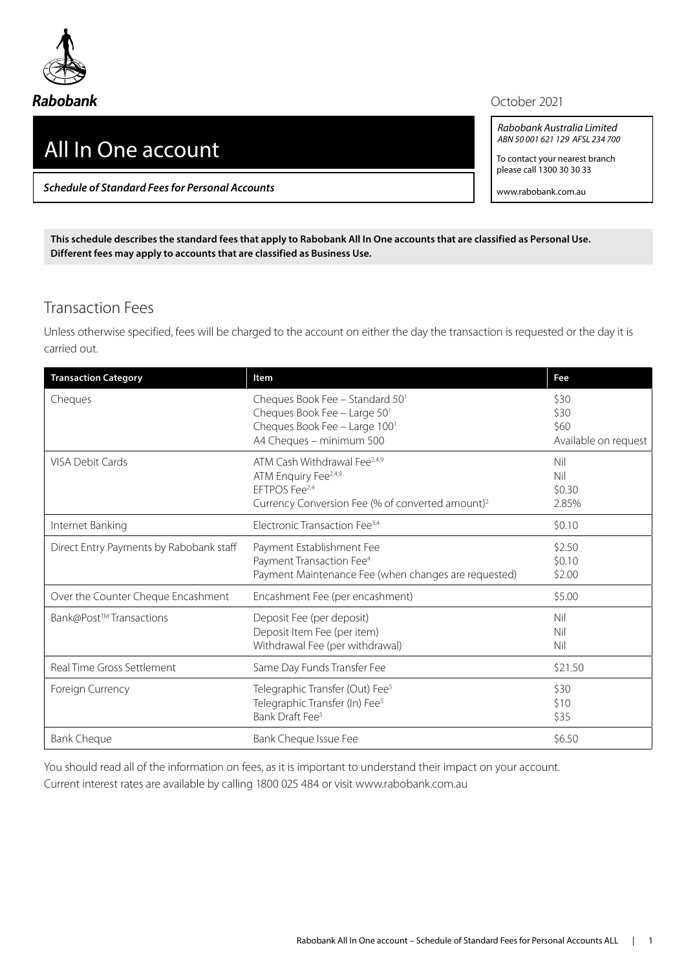

## All In One account

*Schedule of Standard Fees for Personal Accounts*

## October 2021

*Rabobank Australia Limited ABN 50 001 621 129 AFSL 234 700*

To contact your nearest branch please call 1300 30 30 33

www.rabobank.com.au

**This schedule describes the standard fees that apply to Rabobank All In One accounts that are classified as Personal Use. Different fees may apply to accounts that are classified as Business Use.**

## Transaction Fees

Unless otherwise specified, fees will be charged to the account on either the day the transaction is requested or the day it is carried out.

| <b>Transaction Category</b>             | <b>Item</b>                                                                                                                                                               | Fee                                          |
|-----------------------------------------|---------------------------------------------------------------------------------------------------------------------------------------------------------------------------|----------------------------------------------|
| Cheques                                 | Cheques Book Fee - Standard 50 <sup>1</sup><br>Cheques Book Fee - Large 501<br>Cheques Book Fee - Large 1001<br>A4 Cheques - minimum 500                                  | \$30<br>\$30<br>\$60<br>Available on request |
| <b>VISA Debit Cards</b>                 | ATM Cash Withdrawal Fee <sup>2,4,9</sup><br>ATM Enquiry Fee <sup>2,4,9</sup><br>EFTPOS Fee <sup>2,4</sup><br>Currency Conversion Fee (% of converted amount) <sup>2</sup> | Nil<br>Nil<br>\$0.30<br>2.85%                |
| Internet Banking                        | Electronic Transaction Fee <sup>3,4</sup>                                                                                                                                 | \$0.10                                       |
| Direct Entry Payments by Rabobank staff | Payment Establishment Fee<br>Payment Transaction Fee <sup>4</sup><br>Payment Maintenance Fee (when changes are requested)                                                 | \$2.50<br>\$0.10<br>\$2.00                   |
| Over the Counter Cheque Encashment      | Encashment Fee (per encashment)                                                                                                                                           | \$5.00                                       |
| Bank@Post™Transactions                  | Deposit Fee (per deposit)<br>Deposit Item Fee (per item)<br>Withdrawal Fee (per withdrawal)                                                                               | Nil<br>Nil<br>Nil                            |
| Real Time Gross Settlement              | Same Day Funds Transfer Fee                                                                                                                                               | \$21.50                                      |
| Foreign Currency                        | Telegraphic Transfer (Out) Fee <sup>5</sup><br>Telegraphic Transfer (In) Fee <sup>5</sup><br>Bank Draft Fee <sup>5</sup>                                                  | \$30<br>\$10<br>\$35                         |
| <b>Bank Cheque</b>                      | Bank Cheque Issue Fee                                                                                                                                                     | \$6.50                                       |

You should read all of the information on fees, as it is important to understand their impact on your account. Current interest rates are available by calling 1800 025 484 or visit www.rabobank.com.au